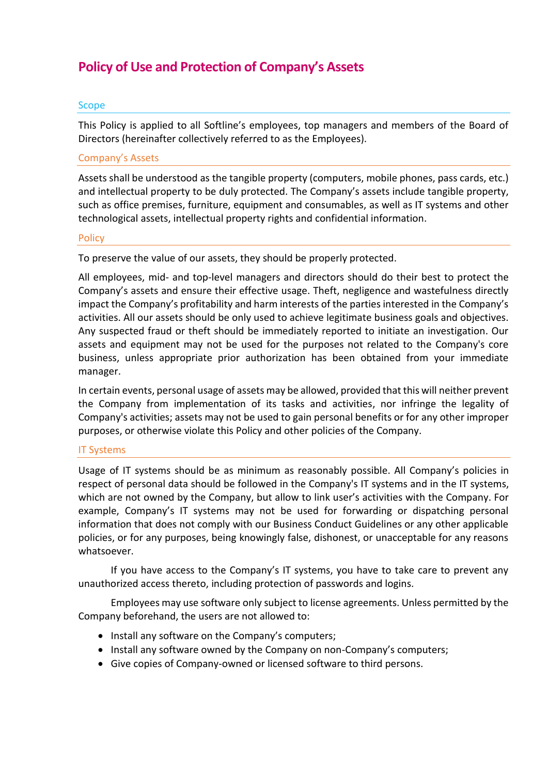# **Policy of Use and Protection of Company's Assets**

## Scope

This Policy is applied to all Softline's employees, top managers and members of the Board of Directors (hereinafter collectively referred to as the Employees).

### Company's Assets

Assets shall be understood as the tangible property (computers, mobile phones, pass cards, etc.) and intellectual property to be duly protected. The Company's assets include tangible property, such as office premises, furniture, equipment and consumables, as well as IT systems and other technological assets, intellectual property rights and confidential information.

### Policy

To preserve the value of our assets, they should be properly protected.

All employees, mid- and top-level managers and directors should do their best to protect the Company's assets and ensure their effective usage. Theft, negligence and wastefulness directly impact the Company's profitability and harm interests of the parties interested in the Company's activities. All our assets should be only used to achieve legitimate business goals and objectives. Any suspected fraud or theft should be immediately reported to initiate an investigation. Our assets and equipment may not be used for the purposes not related to the Company's core business, unless appropriate prior authorization has been obtained from your immediate manager.

In certain events, personal usage of assets may be allowed, provided that this will neither prevent the Company from implementation of its tasks and activities, nor infringe the legality of Company's activities; assets may not be used to gain personal benefits or for any other improper purposes, or otherwise violate this Policy and other policies of the Company.

## IT Systems

Usage of IT systems should be as minimum as reasonably possible. All Company's policies in respect of personal data should be followed in the Company's IT systems and in the IT systems, which are not owned by the Company, but allow to link user's activities with the Company. For example, Company's IT systems may not be used for forwarding or dispatching personal information that does not comply with our Business Conduct Guidelines or any other applicable policies, or for any purposes, being knowingly false, dishonest, or unacceptable for any reasons whatsoever.

If you have access to the Company's IT systems, you have to take care to prevent any unauthorized access thereto, including protection of passwords and logins.

Employees may use software only subject to license agreements. Unless permitted by the Company beforehand, the users are not allowed to:

- Install any software on the Company's computers;
- Install any software owned by the Company on non-Company's computers;
- Give copies of Company-owned or licensed software to third persons.